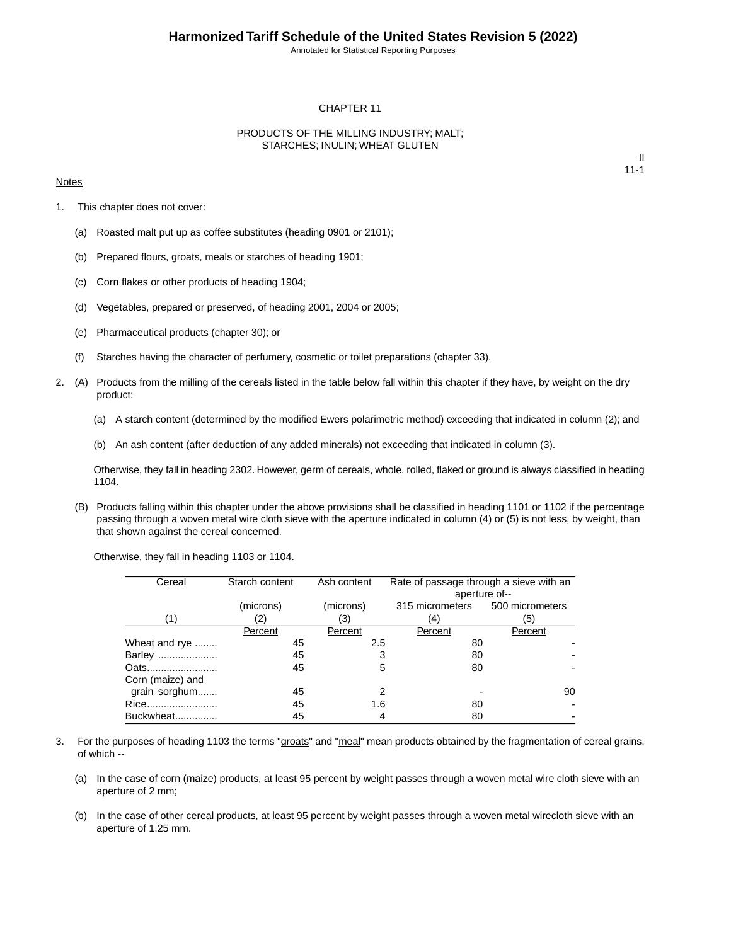Annotated for Statistical Reporting Purposes

#### CHAPTER 11

#### PRODUCTS OF THE MILLING INDUSTRY; MALT; STARCHES; INULIN; WHEAT GLUTEN

#### **Notes**

II 11-1

- 1. This chapter does not cover:
	- (a) Roasted malt put up as coffee substitutes (heading 0901 or 2101);
	- (b) Prepared flours, groats, meals or starches of heading 1901;
	- (c) Corn flakes or other products of heading 1904;
	- (d) Vegetables, prepared or preserved, of heading 2001, 2004 or 2005;
	- (e) Pharmaceutical products (chapter 30); or
	- (f) Starches having the character of perfumery, cosmetic or toilet preparations (chapter 33).
- 2. (A) Products from the milling of the cereals listed in the table below fall within this chapter if they have, by weight on the dry product:
	- (a) A starch content (determined by the modified Ewers polarimetric method) exceeding that indicated in column (2); and
	- (b) An ash content (after deduction of any added minerals) not exceeding that indicated in column (3).

Otherwise, they fall in heading 2302. However, germ of cereals, whole, rolled, flaked or ground is always classified in heading 1104.

(B) Products falling within this chapter under the above provisions shall be classified in heading 1101 or 1102 if the percentage passing through a woven metal wire cloth sieve with the aperture indicated in column (4) or (5) is not less, by weight, than that shown against the cereal concerned.

Otherwise, they fall in heading 1103 or 1104.

| Cereal           | Starch content | Ash content | Rate of passage through a sieve with an |         |
|------------------|----------------|-------------|-----------------------------------------|---------|
|                  |                |             | aperture of--                           |         |
|                  | (microns)      | (microns)   | 315 micrometers 500 micrometers         |         |
| (1)              | (2)            | (3)         | (4)                                     | (5)     |
|                  | Percent        | Percent     | Percent                                 | Percent |
| Wheat and rye    | 45             | 2.5         | 80                                      |         |
| Barley           | 45             | 3           | 80                                      |         |
| Oats             | 45             | 5           | 80                                      |         |
| Corn (maize) and |                |             |                                         |         |
| grain sorghum    | 45             | 2           |                                         | 90      |
| Rice             | 45             | 1.6         | 80                                      |         |
| Buckwheat        | 45             | 4           | 80                                      |         |

- 3. For the purposes of heading 1103 the terms "groats" and "meal" mean products obtained by the fragmentation of cereal grains, of which --
	- (a) In the case of corn (maize) products, at least 95 percent by weight passes through a woven metal wire cloth sieve with an aperture of 2 mm;
	- (b) In the case of other cereal products, at least 95 percent by weight passes through a woven metal wirecloth sieve with an aperture of 1.25 mm.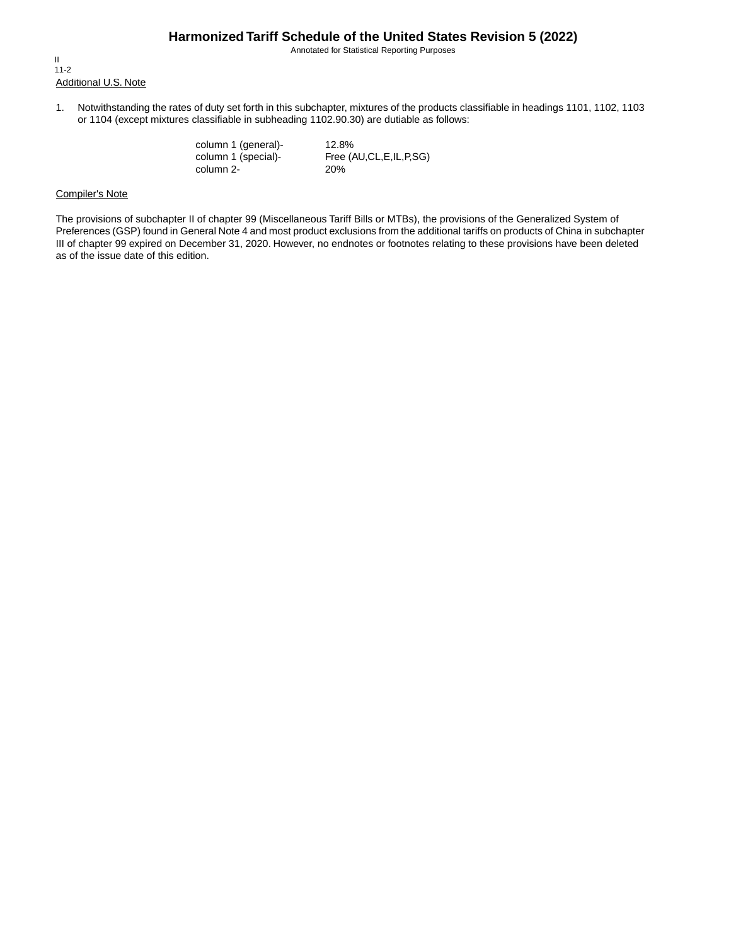Annotated for Statistical Reporting Purposes

Additional U.S. Note II 11-2

1. Notwithstanding the rates of duty set forth in this subchapter, mixtures of the products classifiable in headings 1101, 1102, 1103 or 1104 (except mixtures classifiable in subheading 1102.90.30) are dutiable as follows:

> column 1 (general)- 12.8%<br>column 1 (special)- Free (A column 2- 20%

Free (AU,CL,E,IL,P,SG)

#### Compiler's Note

The provisions of subchapter II of chapter 99 (Miscellaneous Tariff Bills or MTBs), the provisions of the Generalized System of Preferences (GSP) found in General Note 4 and most product exclusions from the additional tariffs on products of China in subchapter III of chapter 99 expired on December 31, 2020. However, no endnotes or footnotes relating to these provisions have been deleted as of the issue date of this edition.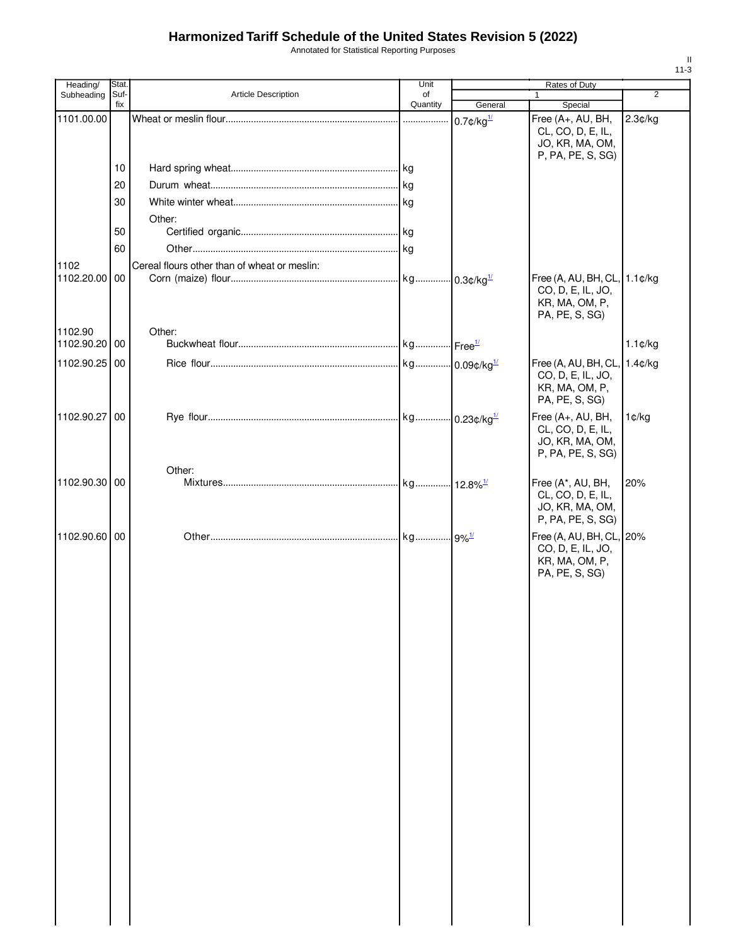Annotated for Statistical Reporting Purposes

| Heading/                 | Stat. |                                              | Unit     | Rates of Duty            |                                                                                       |                |
|--------------------------|-------|----------------------------------------------|----------|--------------------------|---------------------------------------------------------------------------------------|----------------|
| Subheading               | Suf-  | <b>Article Description</b>                   | of       |                          |                                                                                       | $\overline{2}$ |
|                          | fix   |                                              | Quantity | General                  | Special                                                                               |                |
| 1101.00.00               |       |                                              |          | $0.7$ ¢/kg $\frac{1}{2}$ | Free (A+, AU, BH,<br>CL, CO, D, E, IL,<br>JO, KR, MA, OM,<br>P, PA, PE, S, SG)        | 2.3¢/kg        |
|                          | 10    |                                              |          |                          |                                                                                       |                |
|                          | 20    |                                              |          |                          |                                                                                       |                |
|                          | 30    |                                              |          |                          |                                                                                       |                |
|                          |       | Other:                                       |          |                          |                                                                                       |                |
|                          | 50    |                                              |          |                          |                                                                                       |                |
|                          | 60    |                                              |          |                          |                                                                                       |                |
| 1102                     |       | Cereal flours other than of wheat or meslin: |          |                          |                                                                                       |                |
| 1102.20.00 00            |       |                                              |          |                          | Free (A, AU, BH, CL, 1.1¢/kg<br>CO, D, E, IL, JO,<br>KR, MA, OM, P,<br>PA, PE, S, SG) |                |
|                          |       |                                              |          |                          |                                                                                       |                |
| 1102.90<br>1102.90.20 00 |       | Other:                                       |          |                          |                                                                                       | $1.1$ ¢/kg     |
|                          |       |                                              |          |                          |                                                                                       |                |
| 1102.90.25 00            |       |                                              |          |                          | Free (A, AU, BH, CL, 1.4¢/kg<br>CO, D, E, IL, JO,<br>KR, MA, OM, P,<br>PA, PE, S, SG) |                |
| 1102.90.27 00            |       |                                              |          |                          | Free (A+, AU, BH,<br>CL, CO, D, E, IL,<br>JO, KR, MA, OM,<br>P, PA, PE, S, SG)        | 1¢/kg          |
|                          |       | Other:                                       |          |                          |                                                                                       |                |
| 1102.90.30 00            |       |                                              |          |                          | Free (A*, AU, BH,<br>CL, CO, D, E, IL,<br>JO, KR, MA, OM,<br>P, PA, PE, S, SG)        | 20%            |
| 1102.90.60 00            |       |                                              |          |                          | Free (A, AU, BH, CL, 20%<br>CO, D, E, IL, JO,<br>KR, MA, OM, P,<br>PA, PE, S, SG)     |                |
|                          |       |                                              |          |                          |                                                                                       |                |
|                          |       |                                              |          |                          |                                                                                       |                |
|                          |       |                                              |          |                          |                                                                                       |                |
|                          |       |                                              |          |                          |                                                                                       |                |
|                          |       |                                              |          |                          |                                                                                       |                |
|                          |       |                                              |          |                          |                                                                                       |                |
|                          |       |                                              |          |                          |                                                                                       |                |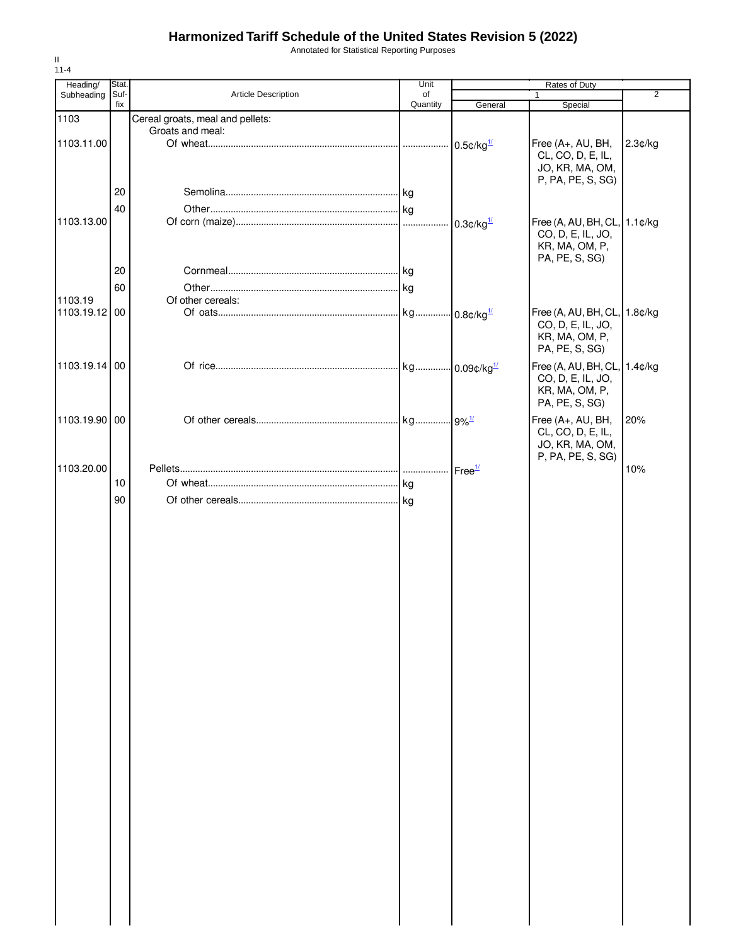Annotated for Statistical Reporting Purposes

| Heading/      | Stat.       |                                                      | Unit     | <b>Rates of Duty</b>     |                              |                |
|---------------|-------------|------------------------------------------------------|----------|--------------------------|------------------------------|----------------|
| Subheading    | Suf-<br>fix | Article Description                                  | of       |                          | $\mathbf 1$                  | $\overline{2}$ |
|               |             |                                                      | Quantity | General                  | Special                      |                |
| 1103          |             | Cereal groats, meal and pellets:<br>Groats and meal: |          |                          |                              |                |
| 1103.11.00    |             |                                                      |          |                          | Free (A+, AU, BH,            | 2.3¢/kg        |
|               |             |                                                      |          | $0.5$ ¢/kg $\frac{1}{2}$ | CL, CO, D, E, IL,            |                |
|               |             |                                                      |          |                          | JO, KR, MA, OM,              |                |
|               |             |                                                      |          |                          | P, PA, PE, S, SG)            |                |
|               | 20          |                                                      |          |                          |                              |                |
|               |             |                                                      |          |                          |                              |                |
|               | 40          |                                                      |          |                          |                              |                |
| 1103.13.00    |             |                                                      |          | $0.3$ ¢/kg $\frac{1}{2}$ | Free (A, AU, BH, CL, 1.1¢/kg |                |
|               |             |                                                      |          |                          | CO, D, E, IL, JO,            |                |
|               |             |                                                      |          |                          | KR, MA, OM, P,               |                |
|               |             |                                                      |          |                          | PA, PE, S, SG)               |                |
|               | 20          |                                                      |          |                          |                              |                |
|               | 60          |                                                      |          |                          |                              |                |
| 1103.19       |             | Of other cereals:                                    |          |                          |                              |                |
| 1103.19.12 00 |             |                                                      |          |                          | Free (A, AU, BH, CL,         | 1.8¢/kg        |
|               |             |                                                      |          |                          | CO, D, E, IL, JO,            |                |
|               |             |                                                      |          |                          | KR, MA, OM, P,               |                |
|               |             |                                                      |          |                          | PA, PE, S, SG)               |                |
|               |             |                                                      |          |                          |                              |                |
| 1103.19.14    | 00          |                                                      |          |                          | Free (A, AU, BH, CL, 1.4¢/kg |                |
|               |             |                                                      |          |                          | CO, D, E, IL, JO,            |                |
|               |             |                                                      |          |                          | KR, MA, OM, P,               |                |
|               |             |                                                      |          |                          | PA, PE, S, SG)               |                |
| 1103.19.90 00 |             |                                                      |          |                          | Free (A+, AU, BH,            | 20%            |
|               |             |                                                      |          |                          | CL, CO, D, E, IL,            |                |
|               |             |                                                      |          |                          | JO, KR, MA, OM,              |                |
|               |             |                                                      |          |                          | P, PA, PE, S, SG)            |                |
| 1103.20.00    |             |                                                      |          | Free <sup>1/</sup>       |                              | 10%            |
|               | 10          |                                                      |          |                          |                              |                |
|               | 90          |                                                      |          |                          |                              |                |
|               |             |                                                      |          |                          |                              |                |
|               |             |                                                      |          |                          |                              |                |
|               |             |                                                      |          |                          |                              |                |
|               |             |                                                      |          |                          |                              |                |
|               |             |                                                      |          |                          |                              |                |
|               |             |                                                      |          |                          |                              |                |
|               |             |                                                      |          |                          |                              |                |
|               |             |                                                      |          |                          |                              |                |
|               |             |                                                      |          |                          |                              |                |
|               |             |                                                      |          |                          |                              |                |
|               |             |                                                      |          |                          |                              |                |
|               |             |                                                      |          |                          |                              |                |
|               |             |                                                      |          |                          |                              |                |
|               |             |                                                      |          |                          |                              |                |
|               |             |                                                      |          |                          |                              |                |
|               |             |                                                      |          |                          |                              |                |
|               |             |                                                      |          |                          |                              |                |
|               |             |                                                      |          |                          |                              |                |
|               |             |                                                      |          |                          |                              |                |
|               |             |                                                      |          |                          |                              |                |
|               |             |                                                      |          |                          |                              |                |
|               |             |                                                      |          |                          |                              |                |
|               |             |                                                      |          |                          |                              |                |
|               |             |                                                      |          |                          |                              |                |
|               |             |                                                      |          |                          |                              |                |
|               |             |                                                      |          |                          |                              |                |
|               |             |                                                      |          |                          |                              |                |
|               |             |                                                      |          |                          |                              |                |
|               |             |                                                      |          |                          |                              |                |
|               |             |                                                      |          |                          |                              |                |
|               |             |                                                      |          |                          |                              |                |
|               |             |                                                      |          |                          |                              |                |
|               |             |                                                      |          |                          |                              |                |
|               |             |                                                      |          |                          |                              |                |
|               |             |                                                      |          |                          |                              |                |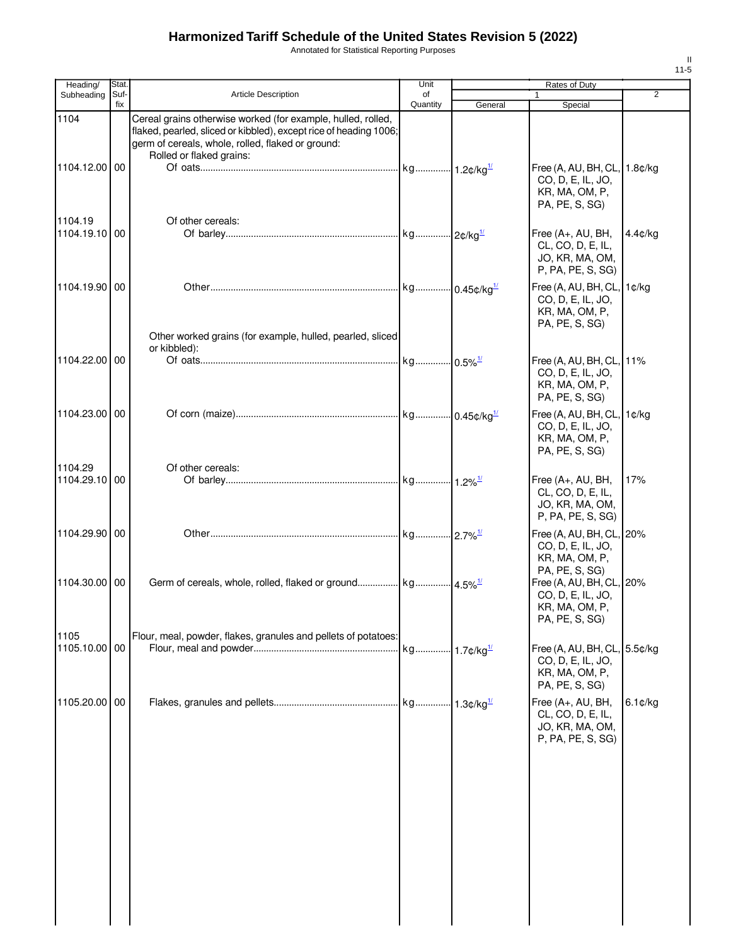Annotated for Statistical Reporting Purposes

| Suf-<br>fix      | <b>Article Description</b>                                                                                                                                                                                         | of<br>Quantity    | General                                                   | $\mathbf{1}$<br>Special                                                               | 2                                                     |
|------------------|--------------------------------------------------------------------------------------------------------------------------------------------------------------------------------------------------------------------|-------------------|-----------------------------------------------------------|---------------------------------------------------------------------------------------|-------------------------------------------------------|
|                  |                                                                                                                                                                                                                    |                   |                                                           |                                                                                       |                                                       |
| 1104.12.00 00    | Cereal grains otherwise worked (for example, hulled, rolled,<br>flaked, pearled, sliced or kibbled), except rice of heading 1006;<br>germ of cereals, whole, rolled, flaked or ground:<br>Rolled or flaked grains: |                   |                                                           | Free (A, AU, BH, CL, 1.8¢/kg<br>CO, D, E, IL, JO,<br>KR, MA, OM, P,                   |                                                       |
| 1104.19.10 00    | Of other cereals:                                                                                                                                                                                                  |                   |                                                           | Free (A+, AU, BH,<br>CL, CO, D, E, IL,<br>JO, KR, MA, OM,                             | $4.4$ ¢/kg                                            |
| 1104.19.90 00    |                                                                                                                                                                                                                    |                   |                                                           | Free (A, AU, BH, CL,<br>CO, D, E, IL, JO,<br>KR, MA, OM, P,<br>PA, PE, S, SG)         | 1¢/kg                                                 |
| 1104.22.00 00    | or kibbled):                                                                                                                                                                                                       |                   |                                                           | Free (A, AU, BH, CL, 11%<br>CO, D, E, IL, JO,<br>KR, MA, OM, P,<br>PA, PE, S, SG)     |                                                       |
| 1104.23.00 00    |                                                                                                                                                                                                                    |                   |                                                           | Free (A, AU, BH, CL,<br>CO, D, E, IL, JO,<br>KR, MA, OM, P,<br>PA, PE, S, SG)         | 1¢/kg                                                 |
| 1104.29.10<br>00 |                                                                                                                                                                                                                    |                   |                                                           | Free (A+, AU, BH,<br>CL, CO, D, E, IL,<br>JO, KR, MA, OM,<br>P, PA, PE, S, SG)        | 17%                                                   |
| 1104.29.90 00    |                                                                                                                                                                                                                    |                   |                                                           | Free (A, AU, BH, CL, 20%<br>CO, D, E, IL, JO,<br>KR, MA, OM, P,                       |                                                       |
| 1104.30.00 00    |                                                                                                                                                                                                                    |                   |                                                           | Free (A, AU, BH, CL, 20%<br>CO, D, E, IL, JO,<br>KR, MA, OM, P,<br>PA, PE, S, SG)     |                                                       |
| 1105.10.00 00    | Flour, meal, powder, flakes, granules and pellets of potatoes:                                                                                                                                                     |                   |                                                           | Free (A, AU, BH, CL, 5.5¢/kg<br>CO, D, E, IL, JO,<br>KR, MA, OM, P,<br>PA, PE, S, SG) |                                                       |
| 1105.20.00<br>00 |                                                                                                                                                                                                                    |                   |                                                           | Free (A+, AU, BH,<br>CL, CO, D, E, IL,<br>JO, KR, MA, OM,<br>P, PA, PE, S, SG)        | $6.1$ ¢/kg                                            |
|                  |                                                                                                                                                                                                                    | Of other cereals: | Other worked grains (for example, hulled, pearled, sliced |                                                                                       | PA, PE, S, SG)<br>P, PA, PE, S, SG)<br>PA, PE, S, SG) |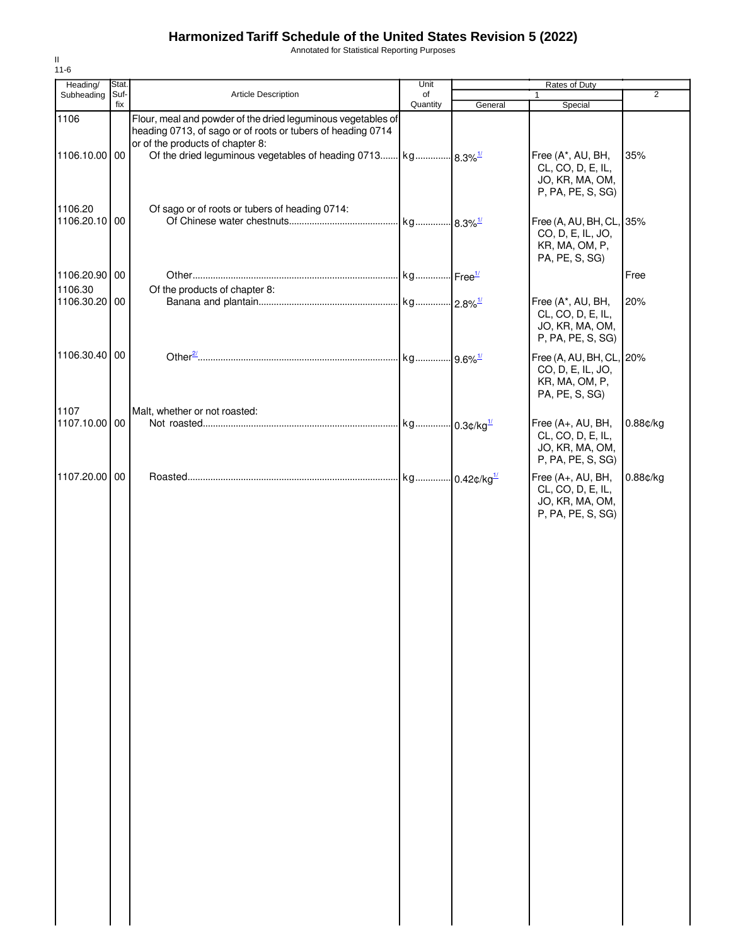Annotated for Statistical Reporting Purposes

| Heading/                 | Stat. |                                                                                                                             | Unit     | Rates of Duty |                                                                                   |                |
|--------------------------|-------|-----------------------------------------------------------------------------------------------------------------------------|----------|---------------|-----------------------------------------------------------------------------------|----------------|
| Subheading               | Suf-  | Article Description                                                                                                         | of       |               | $\mathbf{1}$                                                                      | $\overline{2}$ |
| 1106                     | fix   | Flour, meal and powder of the dried leguminous vegetables of<br>heading 0713, of sago or of roots or tubers of heading 0714 | Quantity | General       | Special                                                                           |                |
| 1106.10.00 00            |       | or of the products of chapter 8:                                                                                            |          |               | Free (A*, AU, BH,<br>CL, CO, D, E, IL,<br>JO, KR, MA, OM,<br>P, PA, PE, S, SG)    | 35%            |
| 1106.20<br>1106.20.10 00 |       | Of sago or of roots or tubers of heading 0714:                                                                              |          |               | Free (A, AU, BH, CL, 35%<br>CO, D, E, IL, JO,<br>KR, MA, OM, P,<br>PA, PE, S, SG) |                |
| 1106.20.90 00            |       |                                                                                                                             |          |               |                                                                                   | Free           |
| 1106.30<br>1106.30.20 00 |       | Of the products of chapter 8:                                                                                               |          |               | Free (A*, AU, BH,<br>CL, CO, D, E, IL,<br>JO, KR, MA, OM,<br>P, PA, PE, S, SG)    | 20%            |
| 1106.30.40 00            |       |                                                                                                                             |          |               | Free (A, AU, BH, CL, 20%<br>CO, D, E, IL, JO,<br>KR, MA, OM, P,<br>PA, PE, S, SG) |                |
| 1107<br>1107.10.00 00    |       | Malt, whether or not roasted:                                                                                               |          |               | Free (A+, AU, BH,<br>CL, CO, D, E, IL,<br>JO, KR, MA, OM,<br>P, PA, PE, S, SG)    | 0.88¢/kg       |
| 1107.20.00 00            |       |                                                                                                                             |          |               | Free (A+, AU, BH,<br>CL, CO, D, E, IL,<br>JO, KR, MA, OM,<br>P, PA, PE, S, SG)    | 0.88¢/kg       |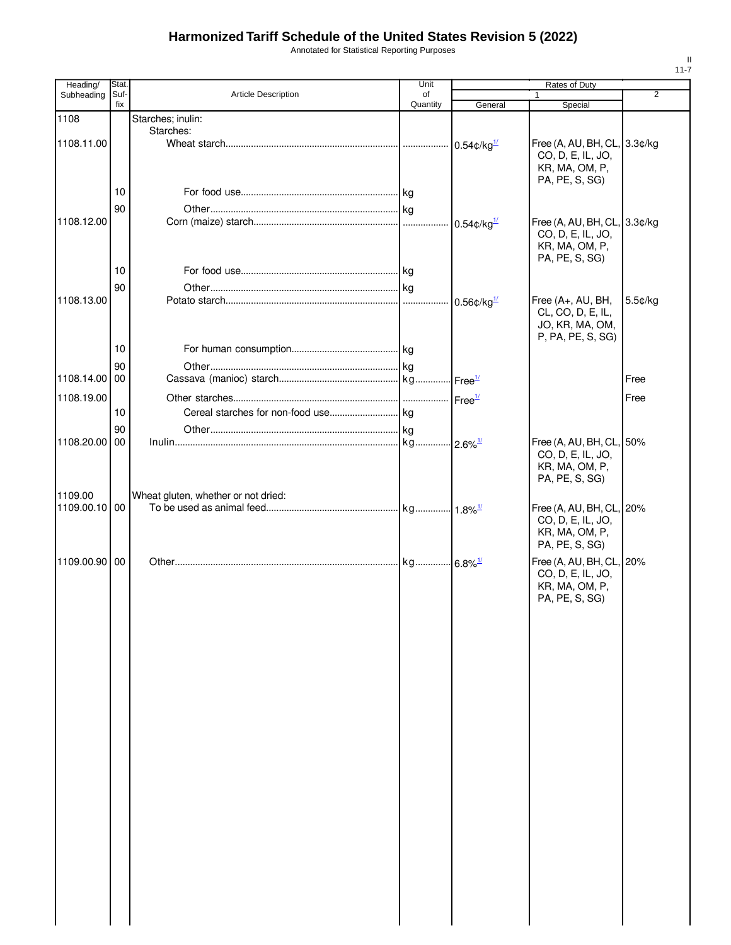Annotated for Statistical Reporting Purposes

| Stat. |                                                                                      | Unit                                                                                   | Rates of Duty             |                                                                                   |                                                                                                   |
|-------|--------------------------------------------------------------------------------------|----------------------------------------------------------------------------------------|---------------------------|-----------------------------------------------------------------------------------|---------------------------------------------------------------------------------------------------|
| fix   |                                                                                      |                                                                                        |                           |                                                                                   | $\overline{2}$                                                                                    |
|       |                                                                                      |                                                                                        |                           |                                                                                   |                                                                                                   |
|       | Starches:                                                                            |                                                                                        |                           |                                                                                   |                                                                                                   |
|       |                                                                                      |                                                                                        |                           | Free (A, AU, BH, CL, 3.3¢/kg<br>CO, D, E, IL, JO,<br>KR, MA, OM, P,               |                                                                                                   |
| 10    |                                                                                      |                                                                                        |                           |                                                                                   |                                                                                                   |
| 90    |                                                                                      |                                                                                        |                           |                                                                                   |                                                                                                   |
|       |                                                                                      |                                                                                        |                           | Free (A, AU, BH, CL, 3.3¢/kg<br>CO, D, E, IL, JO,<br>KR, MA, OM, P,               |                                                                                                   |
| 10    |                                                                                      |                                                                                        |                           |                                                                                   |                                                                                                   |
| 90    |                                                                                      |                                                                                        |                           |                                                                                   |                                                                                                   |
|       |                                                                                      |                                                                                        | 0.56 $c/kg$ <sup>1/</sup> | Free (A+, AU, BH,<br>CL, CO, D, E, IL,<br>JO, KR, MA, OM,                         | 5.5¢/kg                                                                                           |
| 10    |                                                                                      |                                                                                        |                           |                                                                                   |                                                                                                   |
| 90    |                                                                                      |                                                                                        |                           |                                                                                   |                                                                                                   |
|       |                                                                                      |                                                                                        |                           |                                                                                   | Free                                                                                              |
|       |                                                                                      |                                                                                        |                           |                                                                                   | Free                                                                                              |
|       |                                                                                      |                                                                                        |                           |                                                                                   |                                                                                                   |
|       |                                                                                      |                                                                                        |                           |                                                                                   |                                                                                                   |
|       |                                                                                      |                                                                                        |                           |                                                                                   |                                                                                                   |
|       |                                                                                      |                                                                                        |                           | CO, D, E, IL, JO,<br>KR, MA, OM, P,<br>PA, PE, S, SG)                             |                                                                                                   |
|       |                                                                                      |                                                                                        |                           | Free (A, AU, BH, CL, 20%<br>CO, D, E, IL, JO,<br>KR, MA, OM, P,<br>PA, PE, S, SG) |                                                                                                   |
|       |                                                                                      |                                                                                        |                           | Free (A, AU, BH, CL, 20%<br>CO, D, E, IL, JO,<br>KR, MA, OM, P,<br>PA, PE, S, SG) |                                                                                                   |
|       | Suf-<br>1108.14.00 00<br>10<br>90<br>1108.20.00 00<br>1109.00.10 00<br>1109.00.90 00 | <b>Article Description</b><br>Starches; inulin:<br>Wheat gluten, whether or not dried: | of<br>Quantity            | General<br>$0.54$ ¢/kg <sup>1/</sup>                                              | 1<br>Special<br>PA, PE, S, SG)<br>PA, PE, S, SG)<br>P, PA, PE, S, SG)<br>Free (A, AU, BH, CL, 50% |